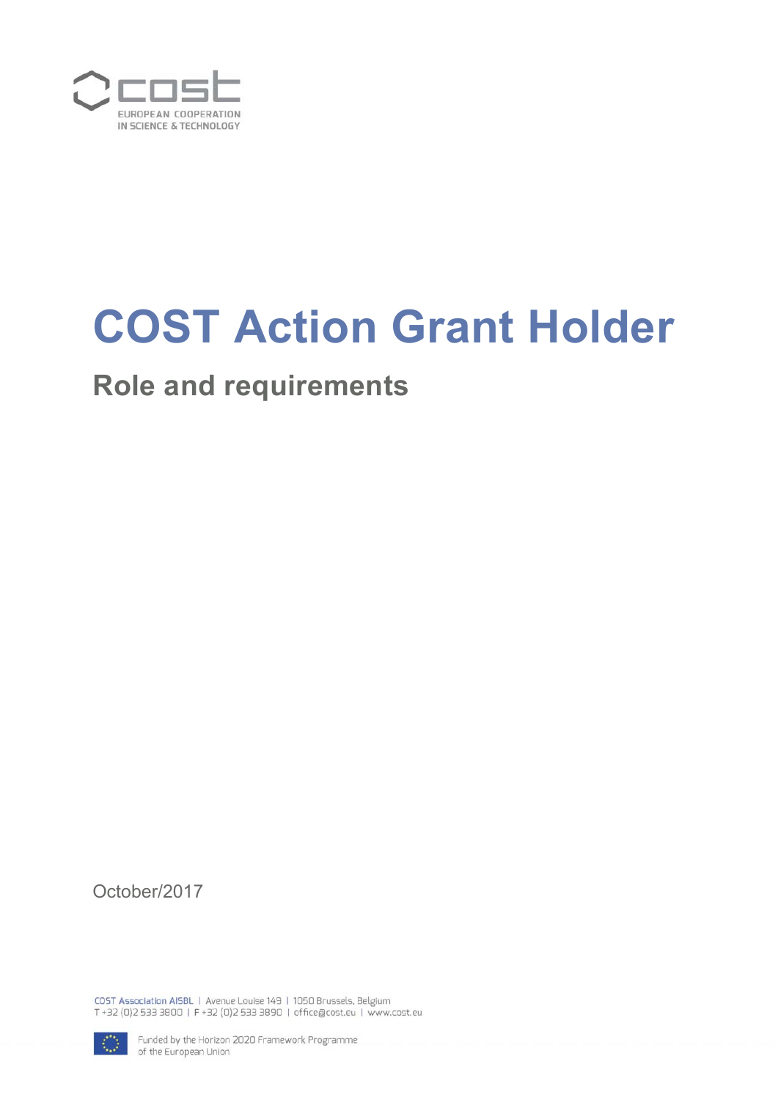

# **COST Action Grant Holder**

# **Role and requirements**

October/2017

COST Association AISBL | Avenue Louise 149 | 1050 Brussels, Belgium T+32 (0)2 533 3800 | F+32 (0)2 533 3890 | office@cost.eu | www.cost.eu



Funded by the Horizon 2020 Framework Programme of the European Union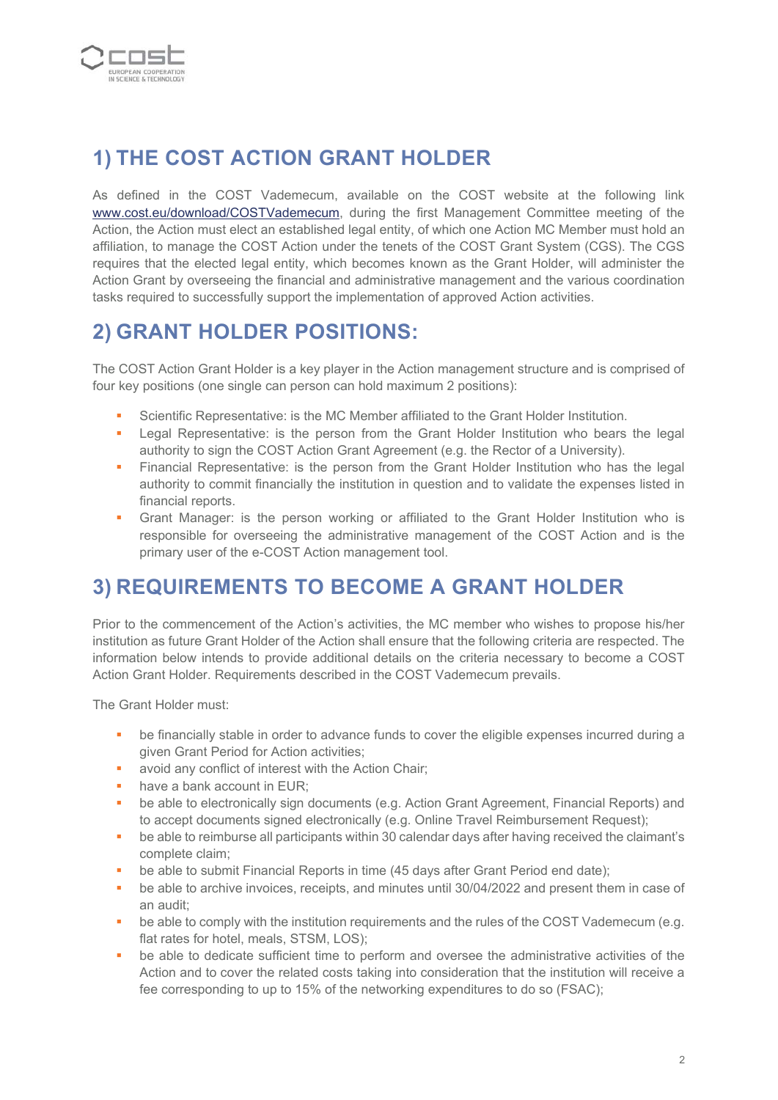

## **1) THE COST ACTION GRANT HOLDER**

As defined in the COST Vademecum, available on the COST website at the following link www.cost.eu/download/COSTVademecum, during the first Management Committee meeting of the Action, the Action must elect an established legal entity, of which one Action MC Member must hold an affiliation, to manage the COST Action under the tenets of the COST Grant System (CGS). The CGS requires that the elected legal entity, which becomes known as the Grant Holder, will administer the Action Grant by overseeing the financial and administrative management and the various coordination tasks required to successfully support the implementation of approved Action activities.

### **2) GRANT HOLDER POSITIONS:**

The COST Action Grant Holder is a key player in the Action management structure and is comprised of four key positions (one single can person can hold maximum 2 positions):

- Scientific Representative: is the MC Member affiliated to the Grant Holder Institution.
- **EXT** Legal Representative: is the person from the Grant Holder Institution who bears the legal authority to sign the COST Action Grant Agreement (e.g. the Rector of a University).
- Financial Representative: is the person from the Grant Holder Institution who has the legal authority to commit financially the institution in question and to validate the expenses listed in financial reports.
- Grant Manager: is the person working or affiliated to the Grant Holder Institution who is responsible for overseeing the administrative management of the COST Action and is the primary user of the e-COST Action management tool.

#### **3) REQUIREMENTS TO BECOME A GRANT HOLDER**

Prior to the commencement of the Action's activities, the MC member who wishes to propose his/her institution as future Grant Holder of the Action shall ensure that the following criteria are respected. The information below intends to provide additional details on the criteria necessary to become a COST Action Grant Holder. Requirements described in the COST Vademecum prevails.

The Grant Holder must:

- **•** be financially stable in order to advance funds to cover the eligible expenses incurred during a given Grant Period for Action activities;
- **a** avoid any conflict of interest with the Action Chair;
- have a bank account in EUR;
- **•** be able to electronically sign documents (e.g. Action Grant Agreement, Financial Reports) and to accept documents signed electronically (e.g. Online Travel Reimbursement Request);
- be able to reimburse all participants within 30 calendar days after having received the claimant's complete claim;
- be able to submit Financial Reports in time (45 days after Grant Period end date);
- be able to archive invoices, receipts, and minutes until 30/04/2022 and present them in case of an audit;
- **•** be able to comply with the institution requirements and the rules of the COST Vademecum (e.g. flat rates for hotel, meals, STSM, LOS);
- **•** be able to dedicate sufficient time to perform and oversee the administrative activities of the Action and to cover the related costs taking into consideration that the institution will receive a fee corresponding to up to 15% of the networking expenditures to do so (FSAC);